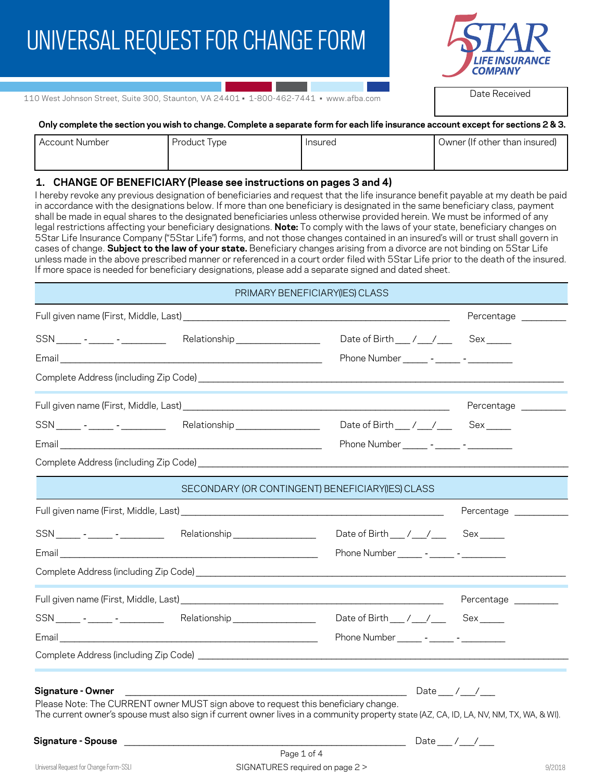# UNIVERSAL REQUEST FOR CHANGE FORM



Date Received

110 West Johnson Street, Suite 300, Staunton, VA 24401 • 1-800-462-7441 • www.afba.com

#### **Only complete the section you wish to change. Complete a separate form for each life insurance account except for sections 2 & 3.**

| Account Number | Product Type | Insured | Owner (If other than insured) |
|----------------|--------------|---------|-------------------------------|
|                |              |         |                               |

#### **1. CHANGE OF BENEFICIARY (Please see instructions on pages 3 and 4)**

I hereby revoke any previous designation of beneficiaries and request that the life insurance benefit payable at my death be paid in accordance with the designations below. If more than one beneficiary is designated in the same beneficiary class, payment shall be made in equal shares to the designated beneficiaries unless otherwise provided herein. We must be informed of any legal restrictions affecting your beneficiary designations. **Note:** To comply with the laws of your state, beneficiary changes on 5Star Life Insurance Company ("5Star Life") forms, and not those changes contained in an insured's will or trust shall govern in cases of change. **Subject to the law of your state.** Beneficiary changes arising from a divorce are not binding on 5Star Life unless made in the above prescribed manner or referenced in a court order filed with 5Star Life prior to the death of the insured. If more space is needed for beneficiary designations, please add a separate signed and dated sheet.

## PRIMARY BENEFICIARY(IES) CLASS

|                                                                                                                                                                                                                                                   |                                                    | Percentage _________   |
|---------------------------------------------------------------------------------------------------------------------------------------------------------------------------------------------------------------------------------------------------|----------------------------------------------------|------------------------|
| SSN ________ - ______ Relationship ______________                                                                                                                                                                                                 | Date of Birth ___ / __ / ___ Sex ____              |                        |
|                                                                                                                                                                                                                                                   | Phone Number _______ - ______ - __________         |                        |
| Complete Address (including Zip Code) entrance and the control of the control of the control of the control of                                                                                                                                    |                                                    |                        |
|                                                                                                                                                                                                                                                   |                                                    | Percentage ________    |
| SSN ______ - _____ - __________ Relationship ________________                                                                                                                                                                                     | Date of Birth ___ / ___ / ___ Sex _____            |                        |
|                                                                                                                                                                                                                                                   | Phone Number ________ - _______ - ___________      |                        |
|                                                                                                                                                                                                                                                   |                                                    |                        |
| SECONDARY (OR CONTINGENT) BENEFICIARY (IES) CLASS                                                                                                                                                                                                 |                                                    |                        |
|                                                                                                                                                                                                                                                   |                                                    | Percentage ___________ |
| SSN _______ - ______ Relationship _______________                                                                                                                                                                                                 | Date of Birth ___ / __ / ___ Sex ____              |                        |
|                                                                                                                                                                                                                                                   | Phone Number _______ - _____ - ______ -            |                        |
|                                                                                                                                                                                                                                                   |                                                    |                        |
|                                                                                                                                                                                                                                                   |                                                    |                        |
| SSN ______ - _____ - __________ Relationship _________________                                                                                                                                                                                    | Date of Birth ___ / __ / ___ Sex _____             |                        |
|                                                                                                                                                                                                                                                   | Phone Number ________ - ______ - __________        |                        |
|                                                                                                                                                                                                                                                   |                                                    |                        |
| Signature - Owner<br>Please Note: The CURRENT owner MUST sign above to request this beneficiary change.<br>The current owner's spouse must also sign if current owner lives in a community property state (AZ, CA, ID, LA, NV, NM, TX, WA, & WI). | $\frac{1}{2}$ Date $\frac{1}{2}$ / $\frac{1}{2}$   |                        |
|                                                                                                                                                                                                                                                   | ________________________ Date _____ / ____ / _____ |                        |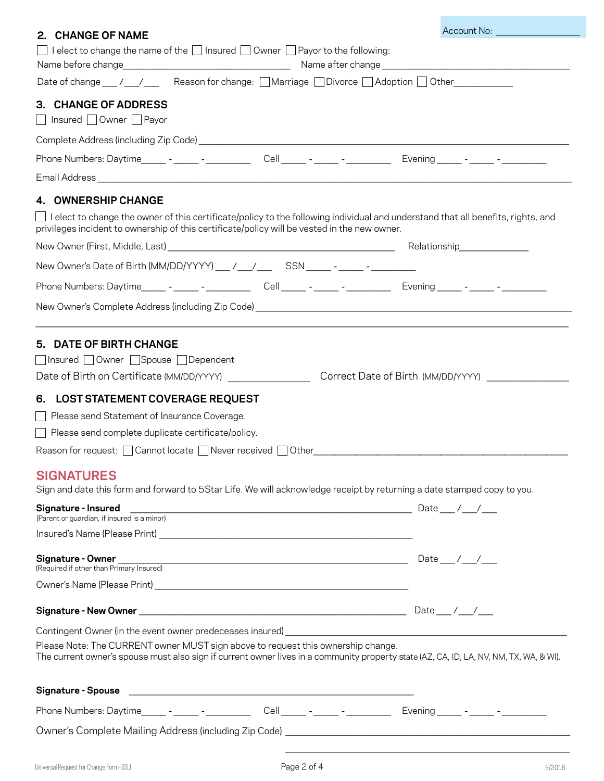| 2. CHANGE OF NAME                                                                                                                                                                                                                                                                                                                                                                                                                                                                                                                                                         | Account No: _________________ |
|---------------------------------------------------------------------------------------------------------------------------------------------------------------------------------------------------------------------------------------------------------------------------------------------------------------------------------------------------------------------------------------------------------------------------------------------------------------------------------------------------------------------------------------------------------------------------|-------------------------------|
| I elect to change the name of the $\Box$ Insured $\Box$ Owner $\Box$ Payor to the following:<br>$\Box$                                                                                                                                                                                                                                                                                                                                                                                                                                                                    |                               |
| Date of change __/ __/ __ Reason for change: □Marriage □Divorce □ Adoption □ Other _________                                                                                                                                                                                                                                                                                                                                                                                                                                                                              |                               |
| 3. CHANGE OF ADDRESS<br>Insured Owner Payor                                                                                                                                                                                                                                                                                                                                                                                                                                                                                                                               |                               |
|                                                                                                                                                                                                                                                                                                                                                                                                                                                                                                                                                                           |                               |
|                                                                                                                                                                                                                                                                                                                                                                                                                                                                                                                                                                           |                               |
|                                                                                                                                                                                                                                                                                                                                                                                                                                                                                                                                                                           |                               |
| 4. OWNERSHIP CHANGE                                                                                                                                                                                                                                                                                                                                                                                                                                                                                                                                                       |                               |
| I elect to change the owner of this certificate/policy to the following individual and understand that all benefits, rights, and<br>privileges incident to ownership of this certificate/policy will be vested in the new owner.                                                                                                                                                                                                                                                                                                                                          |                               |
|                                                                                                                                                                                                                                                                                                                                                                                                                                                                                                                                                                           |                               |
|                                                                                                                                                                                                                                                                                                                                                                                                                                                                                                                                                                           |                               |
| Phone Numbers: Daytime_______ -________ Cell______ -______ -_______ Evening______ -______ -________                                                                                                                                                                                                                                                                                                                                                                                                                                                                       |                               |
|                                                                                                                                                                                                                                                                                                                                                                                                                                                                                                                                                                           |                               |
|                                                                                                                                                                                                                                                                                                                                                                                                                                                                                                                                                                           |                               |
| □ Insured □ Owner □ Spouse □ Dependent<br>6. LOST STATEMENT COVERAGE REQUEST<br>Please send Statement of Insurance Coverage.<br>Please send complete duplicate certificate/policy.<br>Reason for request: <u>Cannot locate Converges and Other Converges</u> and Convergence of Reason for request: Cannot locate Converges and Other Convergence of Australian Convergence of Reason of Reason of Reason of Reason of Re<br><b>SIGNATURES</b><br>Sign and date this form and forward to 5Star Life. We will acknowledge receipt by returning a date stamped copy to you. |                               |
|                                                                                                                                                                                                                                                                                                                                                                                                                                                                                                                                                                           |                               |
| Signature - Insured<br>(Parent or guardian, if insured is a minor)                                                                                                                                                                                                                                                                                                                                                                                                                                                                                                        |                               |
|                                                                                                                                                                                                                                                                                                                                                                                                                                                                                                                                                                           |                               |
|                                                                                                                                                                                                                                                                                                                                                                                                                                                                                                                                                                           |                               |
|                                                                                                                                                                                                                                                                                                                                                                                                                                                                                                                                                                           |                               |
|                                                                                                                                                                                                                                                                                                                                                                                                                                                                                                                                                                           |                               |
| Please Note: The CURRENT owner MUST sign above to request this ownership change.<br>The current owner's spouse must also sign if current owner lives in a community property state (AZ, CA, ID, LA, NV, NM, TX, WA, & WI).                                                                                                                                                                                                                                                                                                                                                |                               |
|                                                                                                                                                                                                                                                                                                                                                                                                                                                                                                                                                                           |                               |
|                                                                                                                                                                                                                                                                                                                                                                                                                                                                                                                                                                           |                               |
| Owner's Complete Mailing Address (including Zip Code) [19] The Community Community Community Community Communi                                                                                                                                                                                                                                                                                                                                                                                                                                                            |                               |
|                                                                                                                                                                                                                                                                                                                                                                                                                                                                                                                                                                           |                               |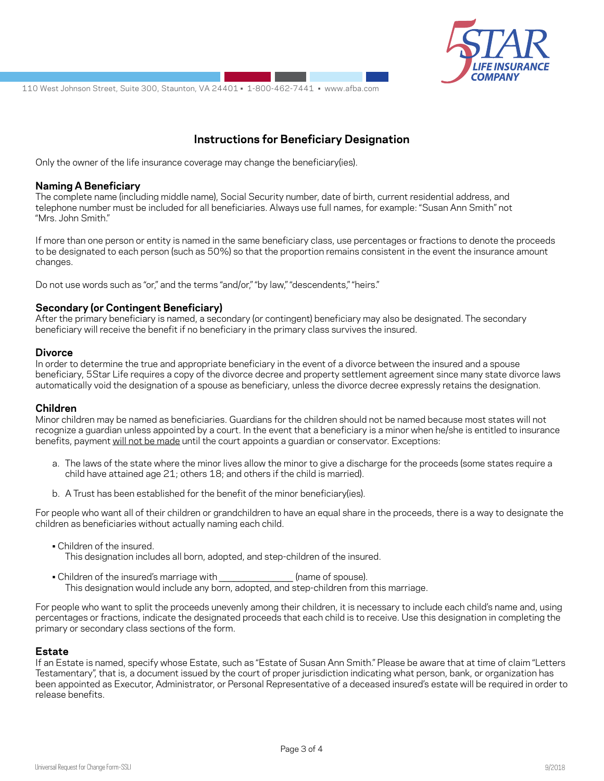

110 West Johnson Street, Suite 300, Staunton, VA 24401 • 1-800-462-7441 • www.afba.com

# **Instructions for Beneficiary Designation**

Only the owner of the life insurance coverage may change the beneficiary(ies).

#### **Naming A Beneficiary**

The complete name (including middle name), Social Security number, date of birth, current residential address, and telephone number must be included for all beneficiaries. Always use full names, for example: "Susan Ann Smith" not "Mrs. John Smith."

If more than one person or entity is named in the same beneficiary class, use percentages or fractions to denote the proceeds to be designated to each person (such as 50%) so that the proportion remains consistent in the event the insurance amount changes.

Do not use words such as "or," and the terms "and/or," "by law," "descendents," "heirs."

## **Secondary (or Contingent Beneficiary)**

After the primary beneficiary is named, a secondary (or contingent) beneficiary may also be designated. The secondary beneficiary will receive the benefit if no beneficiary in the primary class survives the insured.

#### **Divorce**

In order to determine the true and appropriate beneficiary in the event of a divorce between the insured and a spouse beneficiary, 5Star Life requires a copy of the divorce decree and property settlement agreement since many state divorce laws automatically void the designation of a spouse as beneficiary, unless the divorce decree expressly retains the designation.

#### **Children**

Minor children may be named as beneficiaries. Guardians for the children should not be named because most states will not recognize a guardian unless appointed by a court. In the event that a beneficiary is a minor when he/she is entitled to insurance benefits, payment will not be made until the court appoints a guardian or conservator. Exceptions:

- a. The laws of the state where the minor lives allow the minor to give a discharge for the proceeds (some states require a child have attained age 21; others 18; and others if the child is married).
- b. A Trust has been established for the benefit of the minor beneficiary(ies).

For people who want all of their children or grandchildren to have an equal share in the proceeds, there is a way to designate the children as beneficiaries without actually naming each child.

- Children of the insured. This designation includes all born, adopted, and step-children of the insured.
- Children of the insured's marriage with *\_\_\_\_\_\_\_\_\_\_\_\_\_\_\_* (name of spouse). This designation would include any born, adopted, and step-children from this marriage.

For people who want to split the proceeds unevenly among their children, it is necessary to include each child's name and, using percentages or fractions, indicate the designated proceeds that each child is to receive. Use this designation in completing the primary or secondary class sections of the form.

#### **Estate**

If an Estate is named, specify whose Estate, such as "Estate of Susan Ann Smith." Please be aware that at time of claim "Letters Testamentary", that is, a document issued by the court of proper jurisdiction indicating what person, bank, or organization has been appointed as Executor, Administrator, or Personal Representative of a deceased insured's estate will be required in order to release benefits.